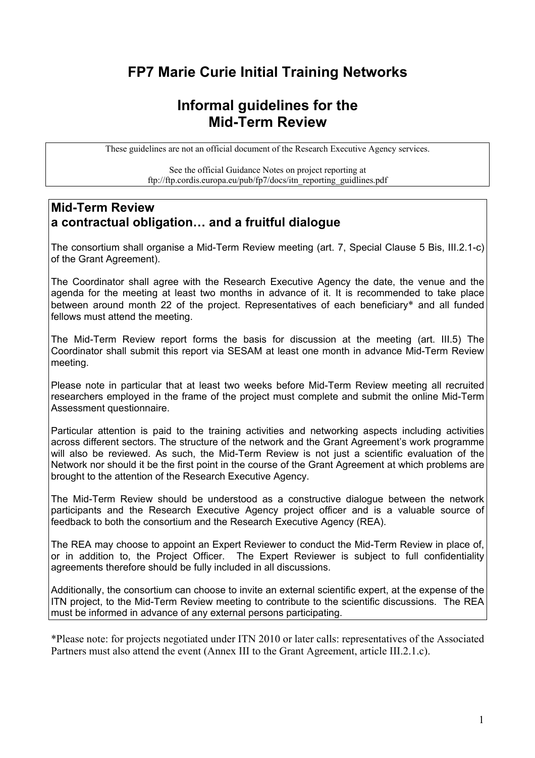## **FP7 Marie Curie Initial Training Networks**

## **Informal guidelines for the Mid-Term Review**

These guidelines are not an official document of the Research Executive Agency services.

See the official Guidance Notes on project reporting at ftp://ftp.cordis.europa.eu/pub/fp7/docs/itn\_reporting\_guidlines.pdf

### **Mid-Term Review a contractual obligation… and a fruitful dialogue**

The consortium shall organise a Mid-Term Review meeting (art. 7, Special Clause 5 Bis, III.2.1-c) of the Grant Agreement).

The Coordinator shall agree with the Research Executive Agency the date, the venue and the agenda for the meeting at least two months in advance of it. It is recommended to take place between around month 22 of the project. Representatives of each beneficiary\* and all funded fellows must attend the meeting.

The Mid-Term Review report forms the basis for discussion at the meeting (art. III.5) The Coordinator shall submit this report via SESAM at least one month in advance Mid-Term Review meeting.

Please note in particular that at least two weeks before Mid-Term Review meeting all recruited researchers employed in the frame of the project must complete and submit the online Mid-Term Assessment questionnaire.

Particular attention is paid to the training activities and networking aspects including activities across different sectors. The structure of the network and the Grant Agreement's work programme will also be reviewed. As such, the Mid-Term Review is not just a scientific evaluation of the Network nor should it be the first point in the course of the Grant Agreement at which problems are brought to the attention of the Research Executive Agency.

The Mid-Term Review should be understood as a constructive dialogue between the network participants and the Research Executive Agency project officer and is a valuable source of feedback to both the consortium and the Research Executive Agency (REA).

The REA may choose to appoint an Expert Reviewer to conduct the Mid-Term Review in place of, or in addition to, the Project Officer. The Expert Reviewer is subject to full confidentiality agreements therefore should be fully included in all discussions.

Additionally, the consortium can choose to invite an external scientific expert, at the expense of the ITN project, to the Mid-Term Review meeting to contribute to the scientific discussions. The REA must be informed in advance of any external persons participating.

\*Please note: for projects negotiated under ITN 2010 or later calls: representatives of the Associated Partners must also attend the event (Annex III to the Grant Agreement, article III.2.1.c).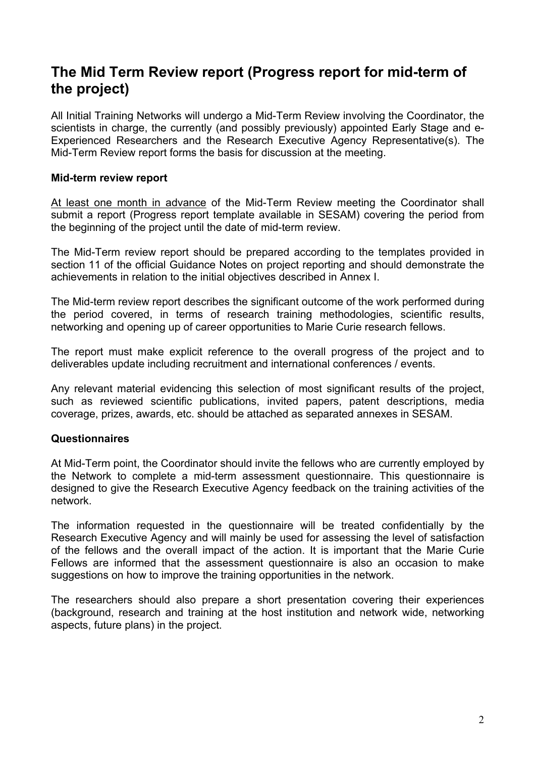## **The Mid Term Review report (Progress report for mid-term of the project)**

All Initial Training Networks will undergo a Mid-Term Review involving the Coordinator, the scientists in charge, the currently (and possibly previously) appointed Early Stage and e-Experienced Researchers and the Research Executive Agency Representative(s). The Mid-Term Review report forms the basis for discussion at the meeting.

### **Mid-term review report**

At least one month in advance of the Mid-Term Review meeting the Coordinator shall submit a report (Progress report template available in SESAM) covering the period from the beginning of the project until the date of mid-term review.

The Mid-Term review report should be prepared according to the templates provided in section 11 of the official Guidance Notes on project reporting and should demonstrate the achievements in relation to the initial objectives described in Annex I.

The Mid-term review report describes the significant outcome of the work performed during the period covered, in terms of research training methodologies, scientific results, networking and opening up of career opportunities to Marie Curie research fellows.

The report must make explicit reference to the overall progress of the project and to deliverables update including recruitment and international conferences / events.

Any relevant material evidencing this selection of most significant results of the project, such as reviewed scientific publications, invited papers, patent descriptions, media coverage, prizes, awards, etc. should be attached as separated annexes in SESAM.

### **Questionnaires**

At Mid-Term point, the Coordinator should invite the fellows who are currently employed by the Network to complete a mid-term assessment questionnaire. This questionnaire is designed to give the Research Executive Agency feedback on the training activities of the network.

The information requested in the questionnaire will be treated confidentially by the Research Executive Agency and will mainly be used for assessing the level of satisfaction of the fellows and the overall impact of the action. It is important that the Marie Curie Fellows are informed that the assessment questionnaire is also an occasion to make suggestions on how to improve the training opportunities in the network.

The researchers should also prepare a short presentation covering their experiences (background, research and training at the host institution and network wide, networking aspects, future plans) in the project.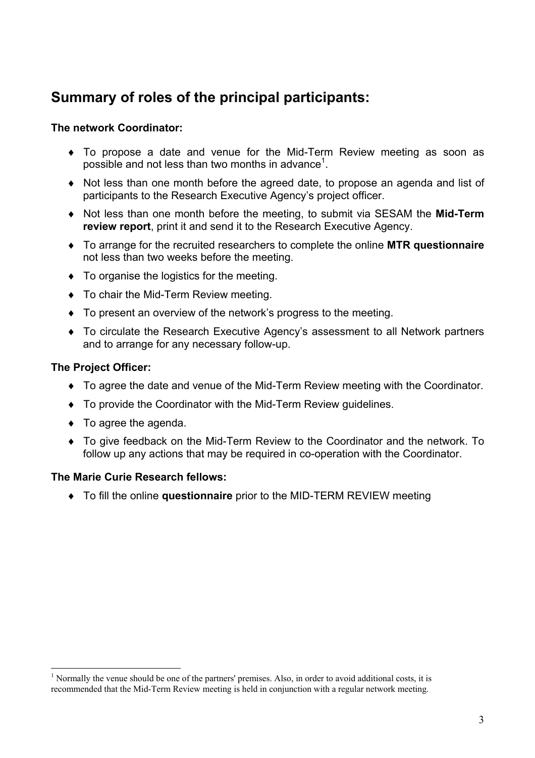## **Summary of roles of the principal participants:**

### **The network Coordinator:**

- ♦ To propose a date and venue for the Mid-Term Review meeting as soon as possible and not less than two months in advance<sup>1</sup>.
- ♦ Not less than one month before the agreed date, to propose an agenda and list of participants to the Research Executive Agency's project officer.
- ♦ Not less than one month before the meeting, to submit via SESAM the **Mid-Term review report**, print it and send it to the Research Executive Agency.
- ♦ To arrange for the recruited researchers to complete the online **MTR questionnaire** not less than two weeks before the meeting.
- ♦ To organise the logistics for the meeting.
- ♦ To chair the Mid-Term Review meeting.
- ♦ To present an overview of the network's progress to the meeting.
- ♦ To circulate the Research Executive Agency's assessment to all Network partners and to arrange for any necessary follow-up.

### **The Project Officer:**

 $\overline{a}$ 

- ♦ To agree the date and venue of the Mid-Term Review meeting with the Coordinator.
- ♦ To provide the Coordinator with the Mid-Term Review guidelines.
- ♦ To agree the agenda.
- ♦ To give feedback on the Mid-Term Review to the Coordinator and the network. To follow up any actions that may be required in co-operation with the Coordinator.

### **The Marie Curie Research fellows:**

♦ To fill the online **questionnaire** prior to the MID-TERM REVIEW meeting

<sup>&</sup>lt;sup>1</sup> Normally the venue should be one of the partners' premises. Also, in order to avoid additional costs, it is recommended that the Mid-Term Review meeting is held in conjunction with a regular network meeting.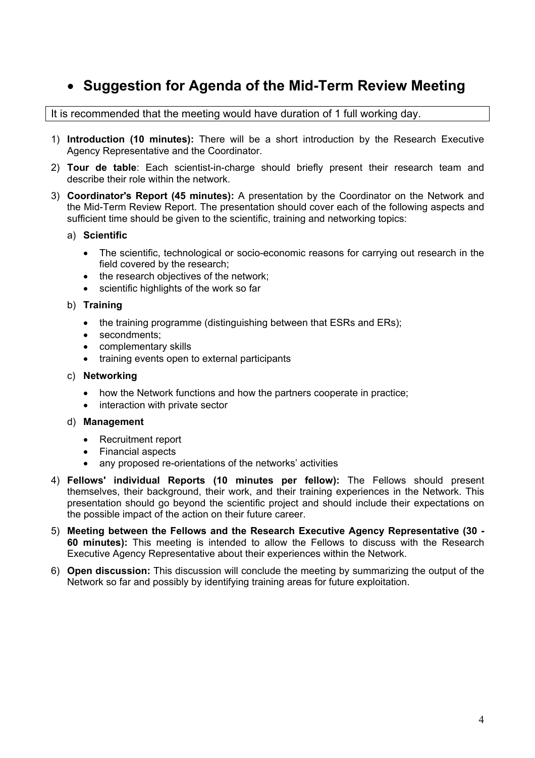## • **Suggestion for Agenda of the Mid-Term Review Meeting**

It is recommended that the meeting would have duration of 1 full working day.

- 1) **Introduction (10 minutes):** There will be a short introduction by the Research Executive Agency Representative and the Coordinator.
- 2) **Tour de table**: Each scientist-in-charge should briefly present their research team and describe their role within the network.
- 3) **Coordinator's Report (45 minutes):** A presentation by the Coordinator on the Network and the Mid-Term Review Report. The presentation should cover each of the following aspects and sufficient time should be given to the scientific, training and networking topics:
	- a) **Scientific**
		- The scientific, technological or socio-economic reasons for carrying out research in the field covered by the research;
		- the research objectives of the network;
		- scientific highlights of the work so far
	- b) **Training** 
		- the training programme (distinguishing between that ESRs and ERs);
		- secondments;
		- complementary skills
		- training events open to external participants
	- c) **Networking** 
		- how the Network functions and how the partners cooperate in practice;
		- interaction with private sector

#### d) **Management**

- Recruitment report
- Financial aspects
- any proposed re-orientations of the networks' activities
- 4) **Fellows' individual Reports (10 minutes per fellow):** The Fellows should present themselves, their background, their work, and their training experiences in the Network. This presentation should go beyond the scientific project and should include their expectations on the possible impact of the action on their future career.
- 5) **Meeting between the Fellows and the Research Executive Agency Representative (30 60 minutes):** This meeting is intended to allow the Fellows to discuss with the Research Executive Agency Representative about their experiences within the Network.
- 6) **Open discussion:** This discussion will conclude the meeting by summarizing the output of the Network so far and possibly by identifying training areas for future exploitation.